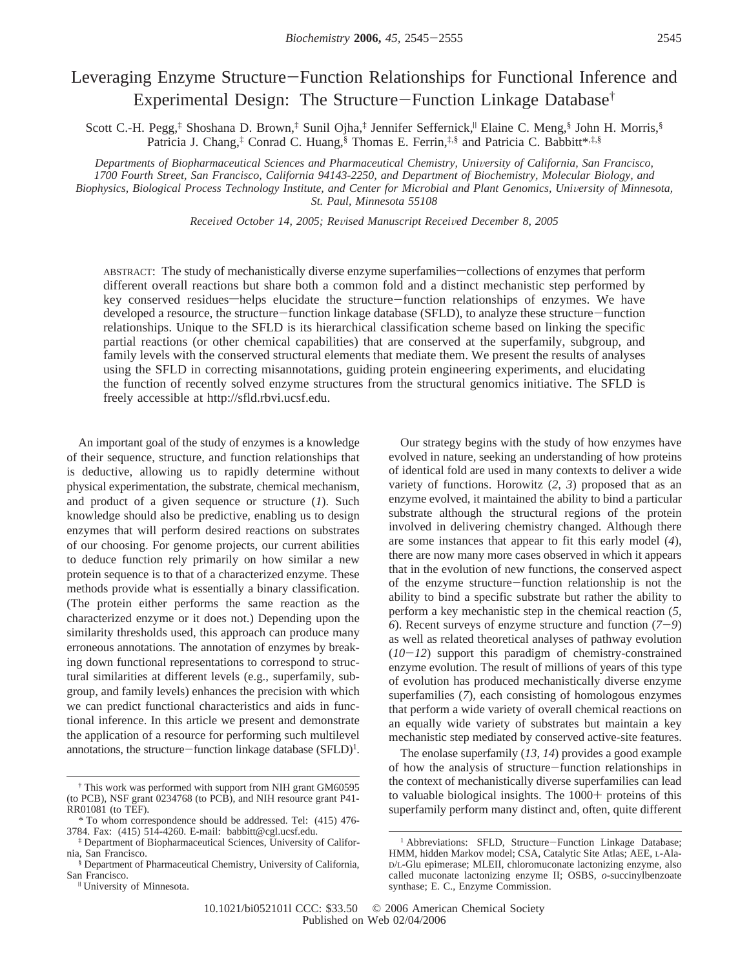# Leveraging Enzyme Structure-Function Relationships for Functional Inference and Experimental Design: The Structure-Function Linkage Database†

Scott C.-H. Pegg,‡ Shoshana D. Brown,‡ Sunil Ojha,‡ Jennifer Seffernick,<sup>|</sup> Elaine C. Meng,§ John H. Morris,§ Patricia J. Chang,<sup>‡</sup> Conrad C. Huang,<sup>§</sup> Thomas E. Ferrin,<sup>‡,§</sup> and Patricia C. Babbitt\*<sup>,‡,§</sup>

*Departments of Biopharmaceutical Sciences and Pharmaceutical Chemistry, University of California, San Francisco, 1700 Fourth Street, San Francisco, California 94143-2250, and Department of Biochemistry, Molecular Biology, and* Biophysics, Biological Process Technology Institute, and Center for Microbial and Plant Genomics, University of Minnesota, *St. Paul, Minnesota 55108*

*Recei*V*ed October 14, 2005; Re*V*ised Manuscript Recei*V*ed December 8, 2005*

ABSTRACT: The study of mechanistically diverse enzyme superfamilies—collections of enzymes that perform different overall reactions but share both a common fold and a distinct mechanistic step performed by key conserved residues—helps elucidate the structure—function relationships of enzymes. We have developed a resource, the structure-function linkage database (SFLD), to analyze these structure-function relationships. Unique to the SFLD is its hierarchical classification scheme based on linking the specific partial reactions (or other chemical capabilities) that are conserved at the superfamily, subgroup, and family levels with the conserved structural elements that mediate them. We present the results of analyses using the SFLD in correcting misannotations, guiding protein engineering experiments, and elucidating the function of recently solved enzyme structures from the structural genomics initiative. The SFLD is freely accessible at http://sfld.rbvi.ucsf.edu.

An important goal of the study of enzymes is a knowledge of their sequence, structure, and function relationships that is deductive, allowing us to rapidly determine without physical experimentation, the substrate, chemical mechanism, and product of a given sequence or structure (*1*). Such knowledge should also be predictive, enabling us to design enzymes that will perform desired reactions on substrates of our choosing. For genome projects, our current abilities to deduce function rely primarily on how similar a new protein sequence is to that of a characterized enzyme. These methods provide what is essentially a binary classification. (The protein either performs the same reaction as the characterized enzyme or it does not.) Depending upon the similarity thresholds used, this approach can produce many erroneous annotations. The annotation of enzymes by breaking down functional representations to correspond to structural similarities at different levels (e.g., superfamily, subgroup, and family levels) enhances the precision with which we can predict functional characteristics and aids in functional inference. In this article we present and demonstrate the application of a resource for performing such multilevel annotations, the structure—function linkage database  $(SFLD)^1$ .

Our strategy begins with the study of how enzymes have evolved in nature, seeking an understanding of how proteins of identical fold are used in many contexts to deliver a wide variety of functions. Horowitz (*2*, *3*) proposed that as an enzyme evolved, it maintained the ability to bind a particular substrate although the structural regions of the protein involved in delivering chemistry changed. Although there are some instances that appear to fit this early model (*4*), there are now many more cases observed in which it appears that in the evolution of new functions, the conserved aspect of the enzyme structure-function relationship is not the ability to bind a specific substrate but rather the ability to perform a key mechanistic step in the chemical reaction (*5*, *<sup>6</sup>*). Recent surveys of enzyme structure and function (*7*-*9*) as well as related theoretical analyses of pathway evolution  $(10-12)$  support this paradigm of chemistry-constrained enzyme evolution. The result of millions of years of this type of evolution has produced mechanistically diverse enzyme superfamilies (*7*), each consisting of homologous enzymes that perform a wide variety of overall chemical reactions on an equally wide variety of substrates but maintain a key mechanistic step mediated by conserved active-site features.

The enolase superfamily (*13*, *14*) provides a good example of how the analysis of structure-function relationships in the context of mechanistically diverse superfamilies can lead to valuable biological insights. The  $1000+$  proteins of this superfamily perform many distinct and, often, quite different

<sup>†</sup> This work was performed with support from NIH grant GM60595 (to PCB), NSF grant 0234768 (to PCB), and NIH resource grant P41- RR01081 (to TEF).

<sup>\*</sup> To whom correspondence should be addressed. Tel: (415) 476- 3784. Fax: (415) 514-4260. E-mail: babbitt@cgl.ucsf.edu.

<sup>‡</sup> Department of Biopharmaceutical Sciences, University of California, San Francisco.

<sup>§</sup> Department of Pharmaceutical Chemistry, University of California,

<sup>&</sup>lt;sup>II</sup> University of Minnesota.

<sup>&</sup>lt;sup>1</sup> Abbreviations: SFLD, Structure-Function Linkage Database; HMM, hidden Markov model; CSA, Catalytic Site Atlas; AEE, L-Ala-D/L-Glu epimerase; MLEII, chloromuconate lactonizing enzyme, also called muconate lactonizing enzyme II; OSBS, *o*-succinylbenzoate synthase; E. C., Enzyme Commission.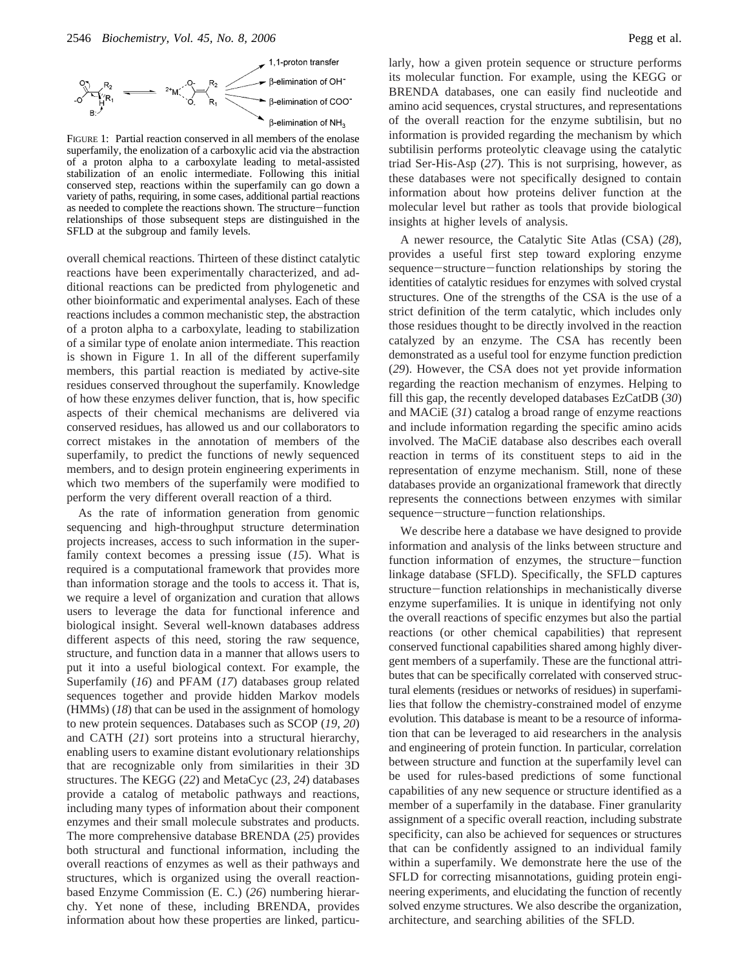

FIGURE 1: Partial reaction conserved in all members of the enolase superfamily, the enolization of a carboxylic acid via the abstraction of a proton alpha to a carboxylate leading to metal-assisted stabilization of an enolic intermediate. Following this initial conserved step, reactions within the superfamily can go down a variety of paths, requiring, in some cases, additional partial reactions as needed to complete the reactions shown. The structure-function relationships of those subsequent steps are distinguished in the SFLD at the subgroup and family levels.

overall chemical reactions. Thirteen of these distinct catalytic reactions have been experimentally characterized, and additional reactions can be predicted from phylogenetic and other bioinformatic and experimental analyses. Each of these reactions includes a common mechanistic step, the abstraction of a proton alpha to a carboxylate, leading to stabilization of a similar type of enolate anion intermediate. This reaction is shown in Figure 1. In all of the different superfamily members, this partial reaction is mediated by active-site residues conserved throughout the superfamily. Knowledge of how these enzymes deliver function, that is, how specific aspects of their chemical mechanisms are delivered via conserved residues, has allowed us and our collaborators to correct mistakes in the annotation of members of the superfamily, to predict the functions of newly sequenced members, and to design protein engineering experiments in which two members of the superfamily were modified to perform the very different overall reaction of a third.

As the rate of information generation from genomic sequencing and high-throughput structure determination projects increases, access to such information in the superfamily context becomes a pressing issue (*15*). What is required is a computational framework that provides more than information storage and the tools to access it. That is, we require a level of organization and curation that allows users to leverage the data for functional inference and biological insight. Several well-known databases address different aspects of this need, storing the raw sequence, structure, and function data in a manner that allows users to put it into a useful biological context. For example, the Superfamily (*16*) and PFAM (*17*) databases group related sequences together and provide hidden Markov models (HMMs) (*18*) that can be used in the assignment of homology to new protein sequences. Databases such as SCOP (*19*, *20*) and CATH (*21*) sort proteins into a structural hierarchy, enabling users to examine distant evolutionary relationships that are recognizable only from similarities in their 3D structures. The KEGG (*22*) and MetaCyc (*23*, *24*) databases provide a catalog of metabolic pathways and reactions, including many types of information about their component enzymes and their small molecule substrates and products. The more comprehensive database BRENDA (*25*) provides both structural and functional information, including the overall reactions of enzymes as well as their pathways and structures, which is organized using the overall reactionbased Enzyme Commission (E. C.) (*26*) numbering hierarchy. Yet none of these, including BRENDA, provides information about how these properties are linked, particularly, how a given protein sequence or structure performs its molecular function. For example, using the KEGG or BRENDA databases, one can easily find nucleotide and amino acid sequences, crystal structures, and representations of the overall reaction for the enzyme subtilisin, but no information is provided regarding the mechanism by which subtilisin performs proteolytic cleavage using the catalytic triad Ser-His-Asp (*27*). This is not surprising, however, as these databases were not specifically designed to contain information about how proteins deliver function at the molecular level but rather as tools that provide biological insights at higher levels of analysis.

A newer resource, the Catalytic Site Atlas (CSA) (*28*), provides a useful first step toward exploring enzyme sequence-structure-function relationships by storing the identities of catalytic residues for enzymes with solved crystal structures. One of the strengths of the CSA is the use of a strict definition of the term catalytic, which includes only those residues thought to be directly involved in the reaction catalyzed by an enzyme. The CSA has recently been demonstrated as a useful tool for enzyme function prediction (*29*). However, the CSA does not yet provide information regarding the reaction mechanism of enzymes. Helping to fill this gap, the recently developed databases EzCatDB (*30*) and MACiE (*31*) catalog a broad range of enzyme reactions and include information regarding the specific amino acids involved. The MaCiE database also describes each overall reaction in terms of its constituent steps to aid in the representation of enzyme mechanism. Still, none of these databases provide an organizational framework that directly represents the connections between enzymes with similar sequence-structure-function relationships.

We describe here a database we have designed to provide information and analysis of the links between structure and function information of enzymes, the structure-function linkage database (SFLD). Specifically, the SFLD captures structure-function relationships in mechanistically diverse enzyme superfamilies. It is unique in identifying not only the overall reactions of specific enzymes but also the partial reactions (or other chemical capabilities) that represent conserved functional capabilities shared among highly divergent members of a superfamily. These are the functional attributes that can be specifically correlated with conserved structural elements (residues or networks of residues) in superfamilies that follow the chemistry-constrained model of enzyme evolution. This database is meant to be a resource of information that can be leveraged to aid researchers in the analysis and engineering of protein function. In particular, correlation between structure and function at the superfamily level can be used for rules-based predictions of some functional capabilities of any new sequence or structure identified as a member of a superfamily in the database. Finer granularity assignment of a specific overall reaction, including substrate specificity, can also be achieved for sequences or structures that can be confidently assigned to an individual family within a superfamily. We demonstrate here the use of the SFLD for correcting misannotations, guiding protein engineering experiments, and elucidating the function of recently solved enzyme structures. We also describe the organization, architecture, and searching abilities of the SFLD.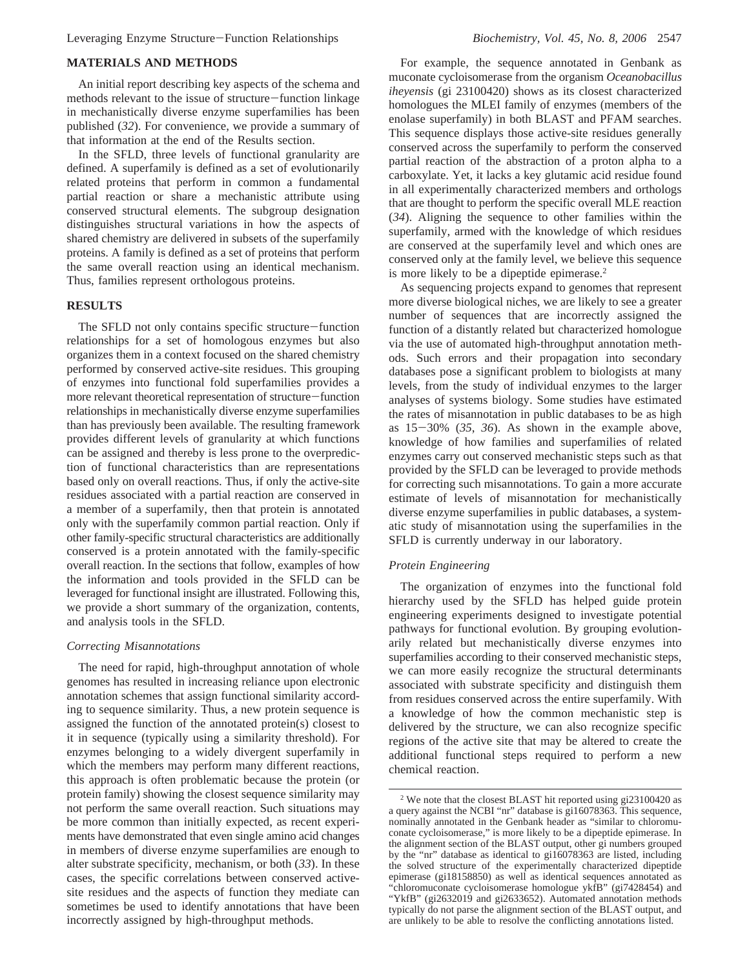## **MATERIALS AND METHODS**

An initial report describing key aspects of the schema and methods relevant to the issue of structure-function linkage in mechanistically diverse enzyme superfamilies has been published (*32*). For convenience, we provide a summary of that information at the end of the Results section.

In the SFLD, three levels of functional granularity are defined. A superfamily is defined as a set of evolutionarily related proteins that perform in common a fundamental partial reaction or share a mechanistic attribute using conserved structural elements. The subgroup designation distinguishes structural variations in how the aspects of shared chemistry are delivered in subsets of the superfamily proteins. A family is defined as a set of proteins that perform the same overall reaction using an identical mechanism. Thus, families represent orthologous proteins.

## **RESULTS**

The SFLD not only contains specific structure-function relationships for a set of homologous enzymes but also organizes them in a context focused on the shared chemistry performed by conserved active-site residues. This grouping of enzymes into functional fold superfamilies provides a more relevant theoretical representation of structure-function relationships in mechanistically diverse enzyme superfamilies than has previously been available. The resulting framework provides different levels of granularity at which functions can be assigned and thereby is less prone to the overprediction of functional characteristics than are representations based only on overall reactions. Thus, if only the active-site residues associated with a partial reaction are conserved in a member of a superfamily, then that protein is annotated only with the superfamily common partial reaction. Only if other family-specific structural characteristics are additionally conserved is a protein annotated with the family-specific overall reaction. In the sections that follow, examples of how the information and tools provided in the SFLD can be leveraged for functional insight are illustrated. Following this, we provide a short summary of the organization, contents, and analysis tools in the SFLD.

## *Correcting Misannotations*

The need for rapid, high-throughput annotation of whole genomes has resulted in increasing reliance upon electronic annotation schemes that assign functional similarity according to sequence similarity. Thus, a new protein sequence is assigned the function of the annotated protein(s) closest to it in sequence (typically using a similarity threshold). For enzymes belonging to a widely divergent superfamily in which the members may perform many different reactions, this approach is often problematic because the protein (or protein family) showing the closest sequence similarity may not perform the same overall reaction. Such situations may be more common than initially expected, as recent experiments have demonstrated that even single amino acid changes in members of diverse enzyme superfamilies are enough to alter substrate specificity, mechanism, or both (*33*). In these cases, the specific correlations between conserved activesite residues and the aspects of function they mediate can sometimes be used to identify annotations that have been incorrectly assigned by high-throughput methods.

For example, the sequence annotated in Genbank as muconate cycloisomerase from the organism *Oceanobacillus iheyensis* (gi 23100420) shows as its closest characterized homologues the MLEI family of enzymes (members of the enolase superfamily) in both BLAST and PFAM searches. This sequence displays those active-site residues generally conserved across the superfamily to perform the conserved partial reaction of the abstraction of a proton alpha to a carboxylate. Yet, it lacks a key glutamic acid residue found in all experimentally characterized members and orthologs that are thought to perform the specific overall MLE reaction (*34*). Aligning the sequence to other families within the superfamily, armed with the knowledge of which residues are conserved at the superfamily level and which ones are conserved only at the family level, we believe this sequence is more likely to be a dipeptide epimerase.<sup>2</sup>

As sequencing projects expand to genomes that represent more diverse biological niches, we are likely to see a greater number of sequences that are incorrectly assigned the function of a distantly related but characterized homologue via the use of automated high-throughput annotation methods. Such errors and their propagation into secondary databases pose a significant problem to biologists at many levels, from the study of individual enzymes to the larger analyses of systems biology. Some studies have estimated the rates of misannotation in public databases to be as high as 15-30% (*35*, *<sup>36</sup>*). As shown in the example above, knowledge of how families and superfamilies of related enzymes carry out conserved mechanistic steps such as that provided by the SFLD can be leveraged to provide methods for correcting such misannotations. To gain a more accurate estimate of levels of misannotation for mechanistically diverse enzyme superfamilies in public databases, a systematic study of misannotation using the superfamilies in the SFLD is currently underway in our laboratory.

## *Protein Engineering*

The organization of enzymes into the functional fold hierarchy used by the SFLD has helped guide protein engineering experiments designed to investigate potential pathways for functional evolution. By grouping evolutionarily related but mechanistically diverse enzymes into superfamilies according to their conserved mechanistic steps, we can more easily recognize the structural determinants associated with substrate specificity and distinguish them from residues conserved across the entire superfamily. With a knowledge of how the common mechanistic step is delivered by the structure, we can also recognize specific regions of the active site that may be altered to create the additional functional steps required to perform a new chemical reaction.

<sup>2</sup> We note that the closest BLAST hit reported using gi23100420 as a query against the NCBI "nr" database is gi16078363. This sequence, nominally annotated in the Genbank header as "similar to chloromuconate cycloisomerase," is more likely to be a dipeptide epimerase. In the alignment section of the BLAST output, other gi numbers grouped by the "nr" database as identical to gi16078363 are listed, including the solved structure of the experimentally characterized dipeptide epimerase (gi18158850) as well as identical sequences annotated as "chloromuconate cycloisomerase homologue ykfB" (gi7428454) and "YkfB" (gi2632019 and gi2633652). Automated annotation methods typically do not parse the alignment section of the BLAST output, and are unlikely to be able to resolve the conflicting annotations listed.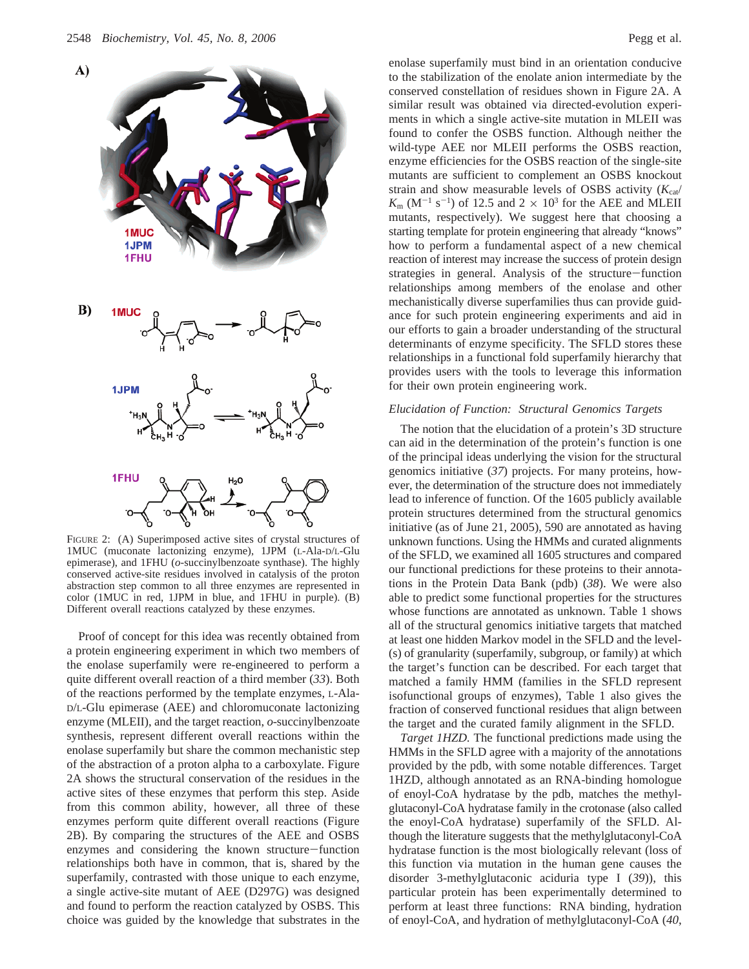

FIGURE 2: (A) Superimposed active sites of crystal structures of 1MUC (muconate lactonizing enzyme), 1JPM (L-Ala-D/L-Glu epimerase), and 1FHU (*o*-succinylbenzoate synthase). The highly conserved active-site residues involved in catalysis of the proton abstraction step common to all three enzymes are represented in color (1MUC in red, 1JPM in blue, and 1FHU in purple). (B) Different overall reactions catalyzed by these enzymes.

Proof of concept for this idea was recently obtained from a protein engineering experiment in which two members of the enolase superfamily were re-engineered to perform a quite different overall reaction of a third member (*33*). Both of the reactions performed by the template enzymes, L-Ala-D/L-Glu epimerase (AEE) and chloromuconate lactonizing enzyme (MLEII), and the target reaction, *o*-succinylbenzoate synthesis, represent different overall reactions within the enolase superfamily but share the common mechanistic step of the abstraction of a proton alpha to a carboxylate. Figure 2A shows the structural conservation of the residues in the active sites of these enzymes that perform this step. Aside from this common ability, however, all three of these enzymes perform quite different overall reactions (Figure 2B). By comparing the structures of the AEE and OSBS enzymes and considering the known structure-function relationships both have in common, that is, shared by the superfamily, contrasted with those unique to each enzyme, a single active-site mutant of AEE (D297G) was designed and found to perform the reaction catalyzed by OSBS. This choice was guided by the knowledge that substrates in the

enolase superfamily must bind in an orientation conducive to the stabilization of the enolate anion intermediate by the conserved constellation of residues shown in Figure 2A. A similar result was obtained via directed-evolution experiments in which a single active-site mutation in MLEII was found to confer the OSBS function. Although neither the wild-type AEE nor MLEII performs the OSBS reaction, enzyme efficiencies for the OSBS reaction of the single-site mutants are sufficient to complement an OSBS knockout strain and show measurable levels of OSBS activity  $(K_{cat}/K_{cat})$  $K_{\text{m}}$  (M<sup>-1</sup> s<sup>-1</sup>) of 12.5 and 2  $\times$  10<sup>3</sup> for the AEE and MLEII mutants, respectively). We suggest here that choosing a starting template for protein engineering that already "knows" how to perform a fundamental aspect of a new chemical reaction of interest may increase the success of protein design strategies in general. Analysis of the structure-function relationships among members of the enolase and other mechanistically diverse superfamilies thus can provide guidance for such protein engineering experiments and aid in our efforts to gain a broader understanding of the structural determinants of enzyme specificity. The SFLD stores these relationships in a functional fold superfamily hierarchy that provides users with the tools to leverage this information for their own protein engineering work.

## *Elucidation of Function: Structural Genomics Targets*

The notion that the elucidation of a protein's 3D structure can aid in the determination of the protein's function is one of the principal ideas underlying the vision for the structural genomics initiative (*37*) projects. For many proteins, however, the determination of the structure does not immediately lead to inference of function. Of the 1605 publicly available protein structures determined from the structural genomics initiative (as of June 21, 2005), 590 are annotated as having unknown functions. Using the HMMs and curated alignments of the SFLD, we examined all 1605 structures and compared our functional predictions for these proteins to their annotations in the Protein Data Bank (pdb) (*38*). We were also able to predict some functional properties for the structures whose functions are annotated as unknown. Table 1 shows all of the structural genomics initiative targets that matched at least one hidden Markov model in the SFLD and the level- (s) of granularity (superfamily, subgroup, or family) at which the target's function can be described. For each target that matched a family HMM (families in the SFLD represent isofunctional groups of enzymes), Table 1 also gives the fraction of conserved functional residues that align between the target and the curated family alignment in the SFLD.

*Target 1HZD.* The functional predictions made using the HMMs in the SFLD agree with a majority of the annotations provided by the pdb, with some notable differences. Target 1HZD, although annotated as an RNA-binding homologue of enoyl-CoA hydratase by the pdb, matches the methylglutaconyl-CoA hydratase family in the crotonase (also called the enoyl-CoA hydratase) superfamily of the SFLD. Although the literature suggests that the methylglutaconyl-CoA hydratase function is the most biologically relevant (loss of this function via mutation in the human gene causes the disorder 3-methylglutaconic aciduria type I (*39*)), this particular protein has been experimentally determined to perform at least three functions: RNA binding, hydration of enoyl-CoA, and hydration of methylglutaconyl-CoA (*40*,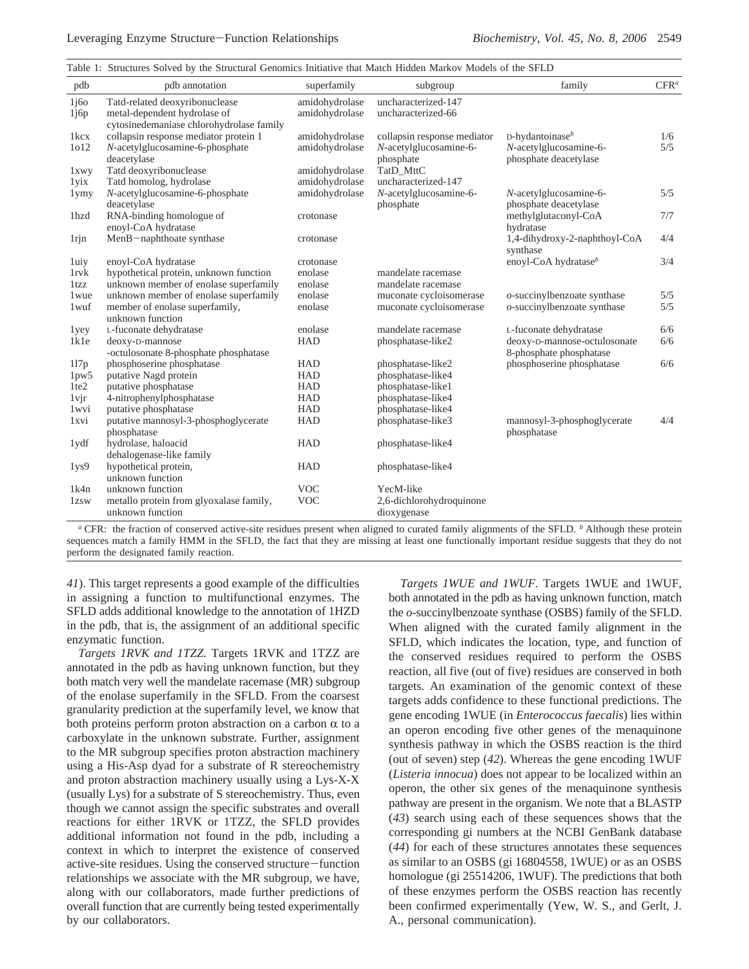| Table 1: Structures Solved by the Structural Genomics Initiative that Match Hidden Markov Models of the SFLD |  |  |  |  |  |  |  |  |  |  |  |  |  |
|--------------------------------------------------------------------------------------------------------------|--|--|--|--|--|--|--|--|--|--|--|--|--|
|--------------------------------------------------------------------------------------------------------------|--|--|--|--|--|--|--|--|--|--|--|--|--|

| pdb                 | pdb annotation                                                                    | superfamily                      | subgroup                                  | family                           | CFR <sup>a</sup> |
|---------------------|-----------------------------------------------------------------------------------|----------------------------------|-------------------------------------------|----------------------------------|------------------|
| 1j60<br>1j6p        | Tatd-related deoxyribonuclease<br>metal-dependent hydrolase of                    | amidohydrolase<br>amidohydrolase | uncharacterized-147<br>uncharacterized-66 |                                  |                  |
| 1 <sub>kcx</sub>    | cytosinedemaniase chlorohydrolase family<br>collapsin response mediator protein 1 | amidohydrolase                   | collapsin response mediator               | D-hydantoinase <sup>b</sup>      | 1/6              |
| 1012                | N-acetylglucosamine-6-phosphate                                                   | amidohydrolase                   | N-acetylglucosamine-6-                    | N-acetylglucosamine-6-           | 5/5              |
|                     | deacetylase                                                                       |                                  | phosphate                                 | phosphate deacetylase            |                  |
| 1xwy                | Tatd deoxyribonuclease                                                            | amidohydrolase                   | TatD MttC                                 |                                  |                  |
| 1 yix               | Tatd homolog, hydrolase                                                           | amidohydrolase                   | uncharacterized-147                       |                                  |                  |
| 1ymy                | N-acetylglucosamine-6-phosphate                                                   | amidohydrolase                   | N-acetylglucosamine-6-                    | N-acetylglucosamine-6-           | 5/5              |
|                     | deacetylase                                                                       |                                  | phosphate                                 | phosphate deacetylase            |                  |
| 1hzd                | RNA-binding homologue of                                                          | crotonase                        |                                           | methylglutaconyl-CoA             | 7/7              |
|                     | enoyl-CoA hydratase                                                               |                                  |                                           | hydratase                        |                  |
| 1 <sub>rjn</sub>    | MenB-naphthoate synthase                                                          | crotonase                        |                                           | 1,4-dihydroxy-2-naphthoyl-CoA    | 4/4              |
|                     |                                                                                   |                                  |                                           | synthase                         |                  |
| 1uiy                | enoyl-CoA hydratase                                                               | crotonase                        |                                           | enoyl-CoA hydratase <sup>b</sup> | 3/4              |
| <b>lrvk</b><br>1tzz | hypothetical protein, unknown function                                            | enolase<br>enolase               | mandelate racemase<br>mandelate racemase  |                                  |                  |
| 1 <sub>wue</sub>    | unknown member of enolase superfamily<br>unknown member of enolase superfamily    | enolase                          | muconate cycloisomerase                   | $o$ -succinylbenzoate synthase   | 5/5              |
| 1wuf                | member of enolase superfamily,                                                    | enolase                          | muconate cycloisomerase                   | $o$ -succinylbenzoate synthase   | 5/5              |
|                     | unknown function                                                                  |                                  |                                           |                                  |                  |
| 1yey                | L-fuconate dehydratase                                                            | enolase                          | mandelate racemase                        | L-fuconate dehydratase           | 6/6              |
| 1k1e                | deoxy-D-mannose                                                                   | <b>HAD</b>                       | phosphatase-like2                         | deoxy-D-mannose-octulosonate     | 6/6              |
|                     | -octulosonate 8-phosphate phosphatase                                             |                                  |                                           | 8-phosphate phosphatase          |                  |
| 117p                | phosphoserine phosphatase                                                         | <b>HAD</b>                       | phosphatase-like2                         | phosphoserine phosphatase        | 6/6              |
| 1 <sub>pw5</sub>    | putative Nagd protein                                                             | <b>HAD</b>                       | phosphatase-like4                         |                                  |                  |
| 1te2                | putative phosphatase                                                              | <b>HAD</b>                       | phosphatase-like1                         |                                  |                  |
| $1$ vj $r$          | 4-nitrophenylphosphatase                                                          | <b>HAD</b>                       | phosphatase-like4                         |                                  |                  |
| 1wvi                | putative phosphatase                                                              | <b>HAD</b>                       | phosphatase-like4                         |                                  |                  |
| 1xvi                | putative mannosyl-3-phosphoglycerate                                              | <b>HAD</b>                       | phosphatase-like3                         | mannosyl-3-phosphoglycerate      | 4/4              |
|                     | phosphatase                                                                       |                                  |                                           | phosphatase                      |                  |
| 1ydf                | hydrolase, haloacid                                                               | <b>HAD</b>                       | phosphatase-like4                         |                                  |                  |
|                     | dehalogenase-like family                                                          |                                  |                                           |                                  |                  |
| 1 <sub>ys</sub> 9   | hypothetical protein,                                                             | <b>HAD</b>                       | phosphatase-like4                         |                                  |                  |
|                     | unknown function                                                                  |                                  |                                           |                                  |                  |
| 1k4n                | unknown function                                                                  | <b>VOC</b>                       | YecM-like                                 |                                  |                  |
| 1 <sub>zsw</sub>    | metallo protein from glyoxalase family,                                           | <b>VOC</b>                       | 2,6-dichlorohydroquinone                  |                                  |                  |
|                     | unknown function                                                                  |                                  | dioxygenase                               |                                  |                  |

*<sup>a</sup>* CFR: the fraction of conserved active-site residues present when aligned to curated family alignments of the SFLD. *<sup>b</sup>* Although these protein sequences match a family HMM in the SFLD, the fact that they are missing at least one functionally important residue suggests that they do not perform the designated family reaction.

*41*). This target represents a good example of the difficulties in assigning a function to multifunctional enzymes. The SFLD adds additional knowledge to the annotation of 1HZD in the pdb, that is, the assignment of an additional specific enzymatic function.

*Targets 1RVK and 1TZZ.* Targets 1RVK and 1TZZ are annotated in the pdb as having unknown function, but they both match very well the mandelate racemase (MR) subgroup of the enolase superfamily in the SFLD. From the coarsest granularity prediction at the superfamily level, we know that both proteins perform proton abstraction on a carbon  $\alpha$  to a carboxylate in the unknown substrate. Further, assignment to the MR subgroup specifies proton abstraction machinery using a His-Asp dyad for a substrate of R stereochemistry and proton abstraction machinery usually using a Lys-X-X (usually Lys) for a substrate of S stereochemistry. Thus, even though we cannot assign the specific substrates and overall reactions for either 1RVK or 1TZZ, the SFLD provides additional information not found in the pdb, including a context in which to interpret the existence of conserved active-site residues. Using the conserved structure-function relationships we associate with the MR subgroup, we have, along with our collaborators, made further predictions of overall function that are currently being tested experimentally by our collaborators.

*Targets 1WUE and 1WUF.* Targets 1WUE and 1WUF, both annotated in the pdb as having unknown function, match the *o*-succinylbenzoate synthase (OSBS) family of the SFLD. When aligned with the curated family alignment in the SFLD, which indicates the location, type, and function of the conserved residues required to perform the OSBS reaction, all five (out of five) residues are conserved in both targets. An examination of the genomic context of these targets adds confidence to these functional predictions. The gene encoding 1WUE (in *Enterococcus faecalis*) lies within an operon encoding five other genes of the menaquinone synthesis pathway in which the OSBS reaction is the third (out of seven) step (*42*). Whereas the gene encoding 1WUF (*Listeria innocua*) does not appear to be localized within an operon, the other six genes of the menaquinone synthesis pathway are present in the organism. We note that a BLASTP (*43*) search using each of these sequences shows that the corresponding gi numbers at the NCBI GenBank database (*44*) for each of these structures annotates these sequences as similar to an OSBS (gi 16804558, 1WUE) or as an OSBS homologue (gi 25514206, 1WUF). The predictions that both of these enzymes perform the OSBS reaction has recently been confirmed experimentally (Yew, W. S., and Gerlt, J. A., personal communication).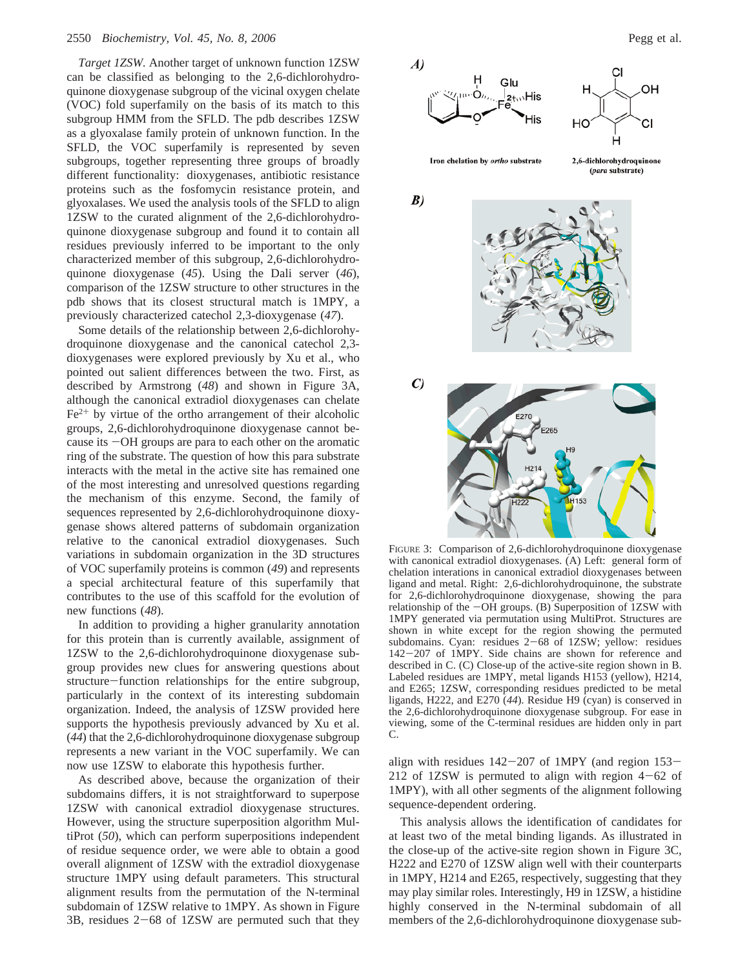*Target 1ZSW.* Another target of unknown function 1ZSW can be classified as belonging to the 2,6-dichlorohydroquinone dioxygenase subgroup of the vicinal oxygen chelate (VOC) fold superfamily on the basis of its match to this subgroup HMM from the SFLD. The pdb describes 1ZSW as a glyoxalase family protein of unknown function. In the SFLD, the VOC superfamily is represented by seven subgroups, together representing three groups of broadly different functionality: dioxygenases, antibiotic resistance proteins such as the fosfomycin resistance protein, and glyoxalases. We used the analysis tools of the SFLD to align 1ZSW to the curated alignment of the 2,6-dichlorohydroquinone dioxygenase subgroup and found it to contain all residues previously inferred to be important to the only characterized member of this subgroup, 2,6-dichlorohydroquinone dioxygenase (*45*). Using the Dali server (*46*), comparison of the 1ZSW structure to other structures in the pdb shows that its closest structural match is 1MPY, a previously characterized catechol 2,3-dioxygenase (*47*).

Some details of the relationship between 2,6-dichlorohydroquinone dioxygenase and the canonical catechol 2,3 dioxygenases were explored previously by Xu et al., who pointed out salient differences between the two. First, as described by Armstrong (*48*) and shown in Figure 3A, although the canonical extradiol dioxygenases can chelate  $Fe<sup>2+</sup>$  by virtue of the ortho arrangement of their alcoholic groups, 2,6-dichlorohydroquinone dioxygenase cannot because its  $-OH$  groups are para to each other on the aromatic ring of the substrate. The question of how this para substrate interacts with the metal in the active site has remained one of the most interesting and unresolved questions regarding the mechanism of this enzyme. Second, the family of sequences represented by 2,6-dichlorohydroquinone dioxygenase shows altered patterns of subdomain organization relative to the canonical extradiol dioxygenases. Such variations in subdomain organization in the 3D structures of VOC superfamily proteins is common (*49*) and represents a special architectural feature of this superfamily that contributes to the use of this scaffold for the evolution of new functions (*48*).

In addition to providing a higher granularity annotation for this protein than is currently available, assignment of 1ZSW to the 2,6-dichlorohydroquinone dioxygenase subgroup provides new clues for answering questions about structure-function relationships for the entire subgroup, particularly in the context of its interesting subdomain organization. Indeed, the analysis of 1ZSW provided here supports the hypothesis previously advanced by Xu et al. (*44*) that the 2,6-dichlorohydroquinone dioxygenase subgroup represents a new variant in the VOC superfamily. We can now use 1ZSW to elaborate this hypothesis further.

As described above, because the organization of their subdomains differs, it is not straightforward to superpose 1ZSW with canonical extradiol dioxygenase structures. However, using the structure superposition algorithm MultiProt (*50*), which can perform superpositions independent of residue sequence order, we were able to obtain a good overall alignment of 1ZSW with the extradiol dioxygenase structure 1MPY using default parameters. This structural alignment results from the permutation of the N-terminal subdomain of 1ZSW relative to 1MPY. As shown in Figure  $3B$ , residues  $2-68$  of  $1ZSW$  are permuted such that they



Iron chelation by ortho substrate

2,6-dichlorohydroquinone (para substrate)



FIGURE 3: Comparison of 2,6-dichlorohydroquinone dioxygenase with canonical extradiol dioxygenases. (A) Left: general form of chelation interations in canonical extradiol dioxygenases between ligand and metal. Right: 2,6-dichlorohydroquinone, the substrate for 2,6-dichlorohydroquinone dioxygenase, showing the para relationship of the  $-OH$  groups. (B) Superposition of 1ZSW with 1MPY generated via permutation using MultiProt. Structures are shown in white except for the region showing the permuted subdomains. Cyan: residues  $2-68$  of 1ZSW; yellow: residues <sup>142</sup>-207 of 1MPY. Side chains are shown for reference and described in C. (C) Close-up of the active-site region shown in B. Labeled residues are 1MPY, metal ligands H153 (yellow), H214, and E265; 1ZSW, corresponding residues predicted to be metal ligands, H222, and E270 (*44*). Residue H9 (cyan) is conserved in the 2,6-dichlorohydroquinone dioxygenase subgroup. For ease in viewing, some of the C-terminal residues are hidden only in part C.

align with residues  $142-207$  of 1MPY (and region  $153-$ 212 of 1ZSW is permuted to align with region  $4-62$  of 1MPY), with all other segments of the alignment following sequence-dependent ordering.

This analysis allows the identification of candidates for at least two of the metal binding ligands. As illustrated in the close-up of the active-site region shown in Figure 3C, H222 and E270 of 1ZSW align well with their counterparts in 1MPY, H214 and E265, respectively, suggesting that they may play similar roles. Interestingly, H9 in 1ZSW, a histidine highly conserved in the N-terminal subdomain of all members of the 2,6-dichlorohydroquinone dioxygenase sub-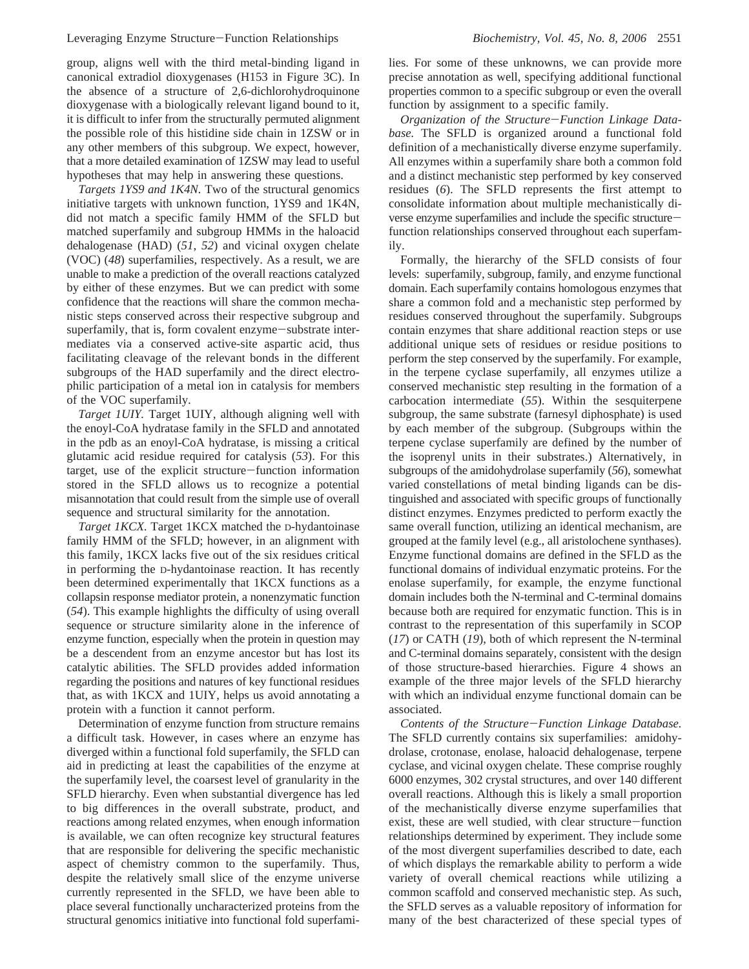group, aligns well with the third metal-binding ligand in canonical extradiol dioxygenases (H153 in Figure 3C). In the absence of a structure of 2,6-dichlorohydroquinone dioxygenase with a biologically relevant ligand bound to it, it is difficult to infer from the structurally permuted alignment the possible role of this histidine side chain in 1ZSW or in any other members of this subgroup. We expect, however, that a more detailed examination of 1ZSW may lead to useful hypotheses that may help in answering these questions.

*Targets 1YS9 and 1K4N.* Two of the structural genomics initiative targets with unknown function, 1YS9 and 1K4N, did not match a specific family HMM of the SFLD but matched superfamily and subgroup HMMs in the haloacid dehalogenase (HAD) (*51*, *52*) and vicinal oxygen chelate (VOC) (*48*) superfamilies, respectively. As a result, we are unable to make a prediction of the overall reactions catalyzed by either of these enzymes. But we can predict with some confidence that the reactions will share the common mechanistic steps conserved across their respective subgroup and superfamily, that is, form covalent enzyme-substrate intermediates via a conserved active-site aspartic acid, thus facilitating cleavage of the relevant bonds in the different subgroups of the HAD superfamily and the direct electrophilic participation of a metal ion in catalysis for members of the VOC superfamily.

*Target 1UIY.* Target 1UIY, although aligning well with the enoyl-CoA hydratase family in the SFLD and annotated in the pdb as an enoyl-CoA hydratase, is missing a critical glutamic acid residue required for catalysis (*53*). For this target, use of the explicit structure-function information stored in the SFLD allows us to recognize a potential misannotation that could result from the simple use of overall sequence and structural similarity for the annotation.

*Target 1KCX.* Target 1KCX matched the D-hydantoinase family HMM of the SFLD; however, in an alignment with this family, 1KCX lacks five out of the six residues critical in performing the D-hydantoinase reaction. It has recently been determined experimentally that 1KCX functions as a collapsin response mediator protein, a nonenzymatic function (*54*). This example highlights the difficulty of using overall sequence or structure similarity alone in the inference of enzyme function, especially when the protein in question may be a descendent from an enzyme ancestor but has lost its catalytic abilities. The SFLD provides added information regarding the positions and natures of key functional residues that, as with 1KCX and 1UIY, helps us avoid annotating a protein with a function it cannot perform.

Determination of enzyme function from structure remains a difficult task. However, in cases where an enzyme has diverged within a functional fold superfamily, the SFLD can aid in predicting at least the capabilities of the enzyme at the superfamily level, the coarsest level of granularity in the SFLD hierarchy. Even when substantial divergence has led to big differences in the overall substrate, product, and reactions among related enzymes, when enough information is available, we can often recognize key structural features that are responsible for delivering the specific mechanistic aspect of chemistry common to the superfamily. Thus, despite the relatively small slice of the enzyme universe currently represented in the SFLD, we have been able to place several functionally uncharacterized proteins from the structural genomics initiative into functional fold superfamilies. For some of these unknowns, we can provide more precise annotation as well, specifying additional functional properties common to a specific subgroup or even the overall function by assignment to a specific family.

*Organization of the Structure*-*Function Linkage Database.* The SFLD is organized around a functional fold definition of a mechanistically diverse enzyme superfamily. All enzymes within a superfamily share both a common fold and a distinct mechanistic step performed by key conserved residues (*6*). The SFLD represents the first attempt to consolidate information about multiple mechanistically diverse enzyme superfamilies and include the specific structurefunction relationships conserved throughout each superfamily.

Formally, the hierarchy of the SFLD consists of four levels: superfamily, subgroup, family, and enzyme functional domain. Each superfamily contains homologous enzymes that share a common fold and a mechanistic step performed by residues conserved throughout the superfamily. Subgroups contain enzymes that share additional reaction steps or use additional unique sets of residues or residue positions to perform the step conserved by the superfamily. For example, in the terpene cyclase superfamily, all enzymes utilize a conserved mechanistic step resulting in the formation of a carbocation intermediate (*55*). Within the sesquiterpene subgroup, the same substrate (farnesyl diphosphate) is used by each member of the subgroup. (Subgroups within the terpene cyclase superfamily are defined by the number of the isoprenyl units in their substrates.) Alternatively, in subgroups of the amidohydrolase superfamily (*56*), somewhat varied constellations of metal binding ligands can be distinguished and associated with specific groups of functionally distinct enzymes. Enzymes predicted to perform exactly the same overall function, utilizing an identical mechanism, are grouped at the family level (e.g., all aristolochene synthases). Enzyme functional domains are defined in the SFLD as the functional domains of individual enzymatic proteins. For the enolase superfamily, for example, the enzyme functional domain includes both the N-terminal and C-terminal domains because both are required for enzymatic function. This is in contrast to the representation of this superfamily in SCOP (*17*) or CATH (*19*), both of which represent the N-terminal and C-terminal domains separately, consistent with the design of those structure-based hierarchies. Figure 4 shows an example of the three major levels of the SFLD hierarchy with which an individual enzyme functional domain can be associated.

*Contents of the Structure*-*Function Linkage Database.* The SFLD currently contains six superfamilies: amidohydrolase, crotonase, enolase, haloacid dehalogenase, terpene cyclase, and vicinal oxygen chelate. These comprise roughly 6000 enzymes, 302 crystal structures, and over 140 different overall reactions. Although this is likely a small proportion of the mechanistically diverse enzyme superfamilies that exist, these are well studied, with clear structure-function relationships determined by experiment. They include some of the most divergent superfamilies described to date, each of which displays the remarkable ability to perform a wide variety of overall chemical reactions while utilizing a common scaffold and conserved mechanistic step. As such, the SFLD serves as a valuable repository of information for many of the best characterized of these special types of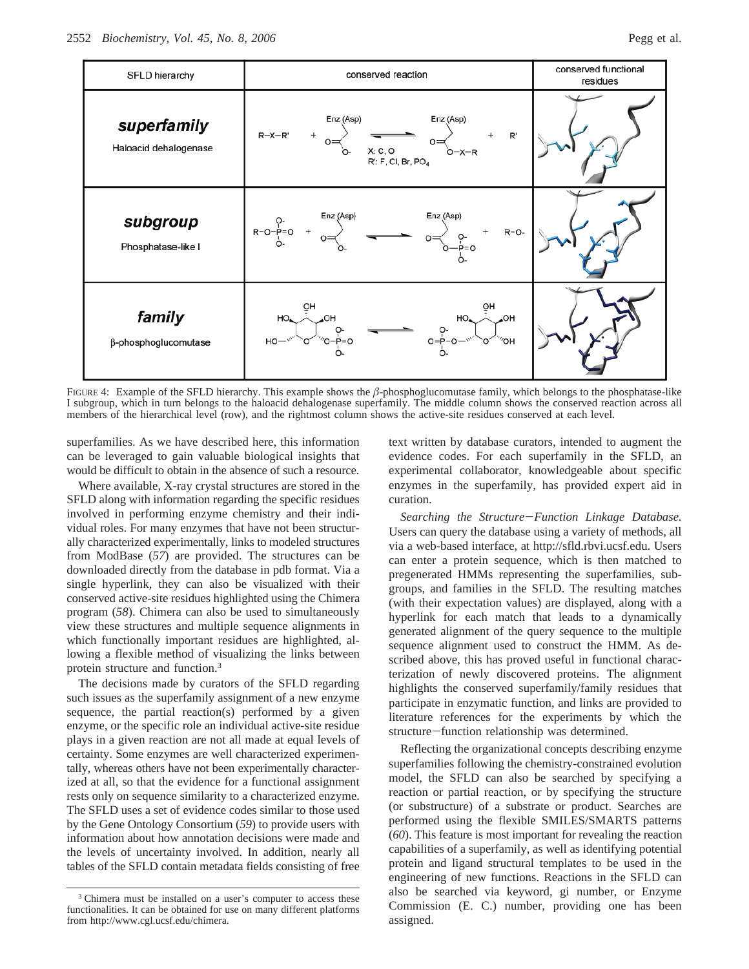

FIGURE 4: Example of the SFLD hierarchy. This example shows the *â*-phosphoglucomutase family, which belongs to the phosphatase-like I subgroup, which in turn belongs to the haloacid dehalogenase superfamily. The middle column shows the conserved reaction across all members of the hierarchical level (row), and the rightmost column shows the active-site residues conserved at each level.

superfamilies. As we have described here, this information can be leveraged to gain valuable biological insights that would be difficult to obtain in the absence of such a resource.

Where available, X-ray crystal structures are stored in the SFLD along with information regarding the specific residues involved in performing enzyme chemistry and their individual roles. For many enzymes that have not been structurally characterized experimentally, links to modeled structures from ModBase (*57*) are provided. The structures can be downloaded directly from the database in pdb format. Via a single hyperlink, they can also be visualized with their conserved active-site residues highlighted using the Chimera program (*58*). Chimera can also be used to simultaneously view these structures and multiple sequence alignments in which functionally important residues are highlighted, allowing a flexible method of visualizing the links between protein structure and function.3

The decisions made by curators of the SFLD regarding such issues as the superfamily assignment of a new enzyme sequence, the partial reaction(s) performed by a given enzyme, or the specific role an individual active-site residue plays in a given reaction are not all made at equal levels of certainty. Some enzymes are well characterized experimentally, whereas others have not been experimentally characterized at all, so that the evidence for a functional assignment rests only on sequence similarity to a characterized enzyme. The SFLD uses a set of evidence codes similar to those used by the Gene Ontology Consortium (*59*) to provide users with information about how annotation decisions were made and the levels of uncertainty involved. In addition, nearly all tables of the SFLD contain metadata fields consisting of free

<sup>3</sup> Chimera must be installed on a user's computer to access these functionalities. It can be obtained for use on many different platforms from http://www.cgl.ucsf.edu/chimera.

text written by database curators, intended to augment the evidence codes. For each superfamily in the SFLD, an experimental collaborator, knowledgeable about specific enzymes in the superfamily, has provided expert aid in curation.

*Searching the Structure*-*Function Linkage Database.* Users can query the database using a variety of methods, all via a web-based interface, at http://sfld.rbvi.ucsf.edu. Users can enter a protein sequence, which is then matched to pregenerated HMMs representing the superfamilies, subgroups, and families in the SFLD. The resulting matches (with their expectation values) are displayed, along with a hyperlink for each match that leads to a dynamically generated alignment of the query sequence to the multiple sequence alignment used to construct the HMM. As described above, this has proved useful in functional characterization of newly discovered proteins. The alignment highlights the conserved superfamily/family residues that participate in enzymatic function, and links are provided to literature references for the experiments by which the structure-function relationship was determined.

Reflecting the organizational concepts describing enzyme superfamilies following the chemistry-constrained evolution model, the SFLD can also be searched by specifying a reaction or partial reaction, or by specifying the structure (or substructure) of a substrate or product. Searches are performed using the flexible SMILES/SMARTS patterns (*60*). This feature is most important for revealing the reaction capabilities of a superfamily, as well as identifying potential protein and ligand structural templates to be used in the engineering of new functions. Reactions in the SFLD can also be searched via keyword, gi number, or Enzyme Commission (E. C.) number, providing one has been assigned.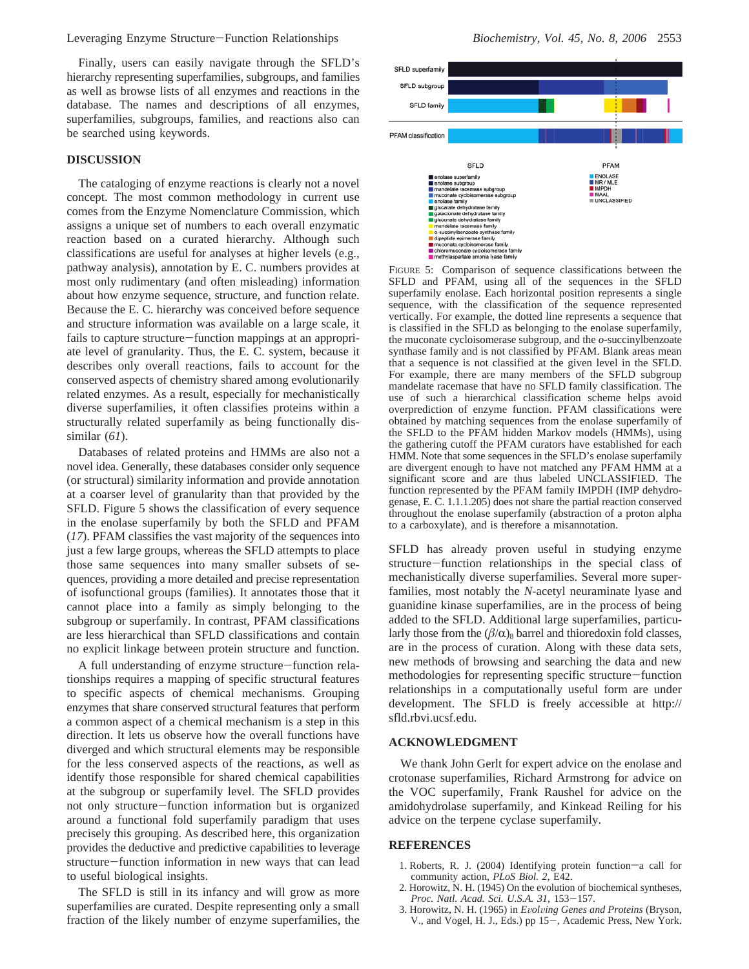Leveraging Enzyme Structure-Function Relationships *Biochemistry, Vol. 45, No. 8, 2006* <sup>2553</sup>

Finally, users can easily navigate through the SFLD's hierarchy representing superfamilies, subgroups, and families as well as browse lists of all enzymes and reactions in the database. The names and descriptions of all enzymes, superfamilies, subgroups, families, and reactions also can be searched using keywords.

# **DISCUSSION**

The cataloging of enzyme reactions is clearly not a novel concept. The most common methodology in current use comes from the Enzyme Nomenclature Commission, which assigns a unique set of numbers to each overall enzymatic reaction based on a curated hierarchy. Although such classifications are useful for analyses at higher levels (e.g., pathway analysis), annotation by E. C. numbers provides at most only rudimentary (and often misleading) information about how enzyme sequence, structure, and function relate. Because the E. C. hierarchy was conceived before sequence and structure information was available on a large scale, it fails to capture structure-function mappings at an appropriate level of granularity. Thus, the E. C. system, because it describes only overall reactions, fails to account for the conserved aspects of chemistry shared among evolutionarily related enzymes. As a result, especially for mechanistically diverse superfamilies, it often classifies proteins within a structurally related superfamily as being functionally dissimilar (*61*).

Databases of related proteins and HMMs are also not a novel idea. Generally, these databases consider only sequence (or structural) similarity information and provide annotation at a coarser level of granularity than that provided by the SFLD. Figure 5 shows the classification of every sequence in the enolase superfamily by both the SFLD and PFAM (*17*). PFAM classifies the vast majority of the sequences into just a few large groups, whereas the SFLD attempts to place those same sequences into many smaller subsets of sequences, providing a more detailed and precise representation of isofunctional groups (families). It annotates those that it cannot place into a family as simply belonging to the subgroup or superfamily. In contrast, PFAM classifications are less hierarchical than SFLD classifications and contain no explicit linkage between protein structure and function.

A full understanding of enzyme structure-function relationships requires a mapping of specific structural features to specific aspects of chemical mechanisms. Grouping enzymes that share conserved structural features that perform a common aspect of a chemical mechanism is a step in this direction. It lets us observe how the overall functions have diverged and which structural elements may be responsible for the less conserved aspects of the reactions, as well as identify those responsible for shared chemical capabilities at the subgroup or superfamily level. The SFLD provides not only structure-function information but is organized around a functional fold superfamily paradigm that uses precisely this grouping. As described here, this organization provides the deductive and predictive capabilities to leverage structure-function information in new ways that can lead to useful biological insights.

The SFLD is still in its infancy and will grow as more superfamilies are curated. Despite representing only a small fraction of the likely number of enzyme superfamilies, the



FIGURE 5: Comparison of sequence classifications between the SFLD and PFAM, using all of the sequences in the SFLD superfamily enolase. Each horizontal position represents a single sequence, with the classification of the sequence represented vertically. For example, the dotted line represents a sequence that is classified in the SFLD as belonging to the enolase superfamily, the muconate cycloisomerase subgroup, and the *o*-succinylbenzoate synthase family and is not classified by PFAM. Blank areas mean that a sequence is not classified at the given level in the SFLD. For example, there are many members of the SFLD subgroup mandelate racemase that have no SFLD family classification. The use of such a hierarchical classification scheme helps avoid overprediction of enzyme function. PFAM classifications were obtained by matching sequences from the enolase superfamily of the SFLD to the PFAM hidden Markov models (HMMs), using the gathering cutoff the PFAM curators have established for each HMM. Note that some sequences in the SFLD's enolase superfamily are divergent enough to have not matched any PFAM HMM at a significant score and are thus labeled UNCLASSIFIED. The function represented by the PFAM family IMPDH (IMP dehydrogenase, E. C. 1.1.1.205) does not share the partial reaction conserved throughout the enolase superfamily (abstraction of a proton alpha to a carboxylate), and is therefore a misannotation.

SFLD has already proven useful in studying enzyme structure-function relationships in the special class of mechanistically diverse superfamilies. Several more superfamilies, most notably the *N*-acetyl neuraminate lyase and guanidine kinase superfamilies, are in the process of being added to the SFLD. Additional large superfamilies, particularly those from the  $(\beta/\alpha)_{8}$  barrel and thioredoxin fold classes, are in the process of curation. Along with these data sets, new methods of browsing and searching the data and new methodologies for representing specific structure-function relationships in a computationally useful form are under development. The SFLD is freely accessible at http:// sfld.rbvi.ucsf.edu.

#### **ACKNOWLEDGMENT**

We thank John Gerlt for expert advice on the enolase and crotonase superfamilies, Richard Armstrong for advice on the VOC superfamily, Frank Raushel for advice on the amidohydrolase superfamily, and Kinkead Reiling for his advice on the terpene cyclase superfamily.

## **REFERENCES**

- 1. Roberts, R. J. (2004) Identifying protein function-a call for community action, *PLoS Biol. 2*, E42.
- 2. Horowitz, N. H. (1945) On the evolution of biochemical syntheses, *Proc. Natl. Acad. Sci. U.S.A. 31*, 153-157.
- 3. Horowitz, N. H. (1965) in *<sup>E</sup>*V*ol*V*ing Genes and Proteins* (Bryson, V., and Vogel, H. J., Eds.) pp 15-, Academic Press, New York.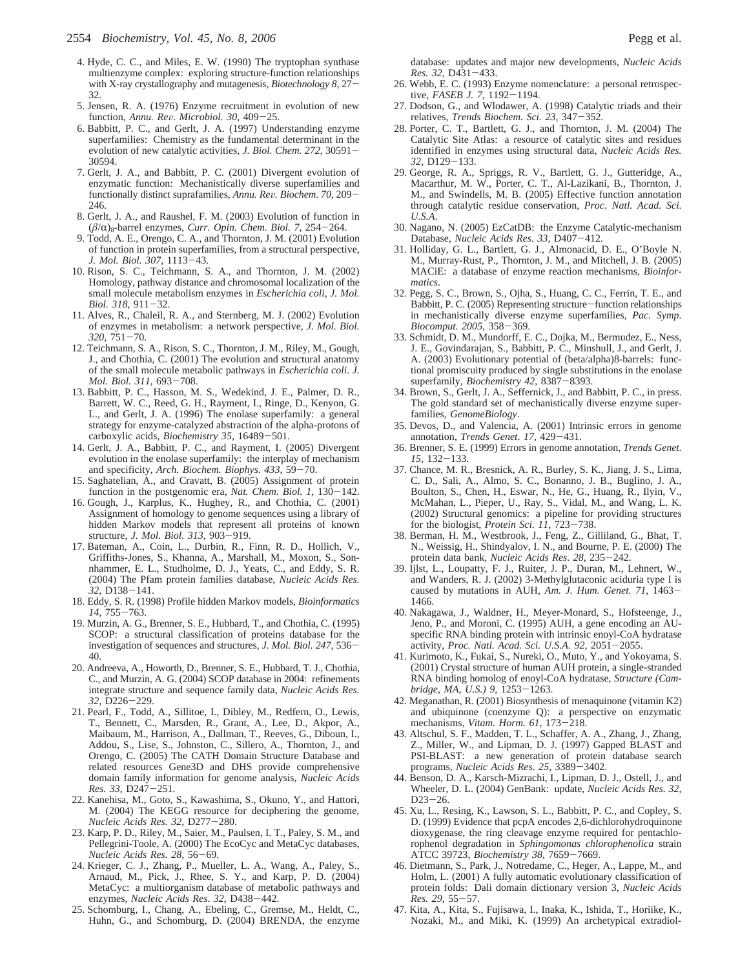- 4. Hyde, C. C., and Miles, E. W. (1990) The tryptophan synthase multienzyme complex: exploring structure-function relationships with X-ray crystallography and mutagenesis, *Biotechnology 8*, 27- 32.
- 5. Jensen, R. A. (1976) Enzyme recruitment in evolution of new function, *Annu. Re*V*. Microbiol. 30*, 409-25.
- 6. Babbitt, P. C., and Gerlt, J. A. (1997) Understanding enzyme superfamilies: Chemistry as the fundamental determinant in the evolution of new catalytic activities, *J. Biol. Chem. 272*, 30591- 30594.
- 7. Gerlt, J. A., and Babbitt, P. C. (2001) Divergent evolution of enzymatic function: Mechanistically diverse superfamilies and functionally distinct suprafamilies, *Annu. Re*V*. Biochem*. *<sup>70</sup>*, 209- 246.
- 8. Gerlt, J. A., and Raushel, F. M. (2003) Evolution of function in  $(\beta/\alpha)_8$ -barrel enzymes, *Curr. Opin. Chem. Biol.* 7, 254–264.
- 9. Todd, A. E., Orengo, C. A., and Thornton, J. M. (2001) Evolution of function in protein superfamilies, from a structural perspective, *J. Mol. Biol. 307*, 1113-43.
- 10. Rison, S. C., Teichmann, S. A., and Thornton, J. M. (2002) Homology, pathway distance and chromosomal localization of the small molecule metabolism enzymes in *Escherichia coli*, *J. Mol. Biol. 318*, 911-32.
- 11. Alves, R., Chaleil, R. A., and Sternberg, M. J. (2002) Evolution of enzymes in metabolism: a network perspective, *J. Mol. Biol. <sup>320</sup>*, 751-70.
- 12. Teichmann, S. A., Rison, S. C., Thornton, J. M., Riley, M., Gough, J., and Chothia, C. (2001) The evolution and structural anatomy of the small molecule metabolic pathways in *Escherichia coli*. *J. Mol. Biol. 311*, 693-708. 13. Babbitt, P. C., Hasson, M. S., Wedekind, J. E., Palmer, D. R.,
- Barrett, W. C., Reed, G. H., Rayment, I., Ringe, D., Kenyon, G. L., and Gerlt, J. A. (1996) The enolase superfamily: a general strategy for enzyme-catalyzed abstraction of the alpha-protons of carboxylic acids, *Biochemistry 35*, 16489-501.
- 14. Gerlt, J. A., Babbitt, P. C., and Rayment, I. (2005) Divergent evolution in the enolase superfamily: the interplay of mechanism and specificity, *Arch. Biochem. Biophys. 433*, 59-70.
- 15. Saghatelian, A., and Cravatt, B. (2005) Assignment of protein function in the postgenomic era, *Nat. Chem. Biol. 1*, 130-142.
- 16. Gough, J., Karplus, K., Hughey, R., and Chothia, C. (2001) Assignment of homology to genome sequences using a library of hidden Markov models that represent all proteins of known structure, *J. Mol. Biol. 313*, 903-919.
- 17. Bateman, A., Coin, L., Durbin, R., Finn, R. D., Hollich, V., Griffiths-Jones, S., Khanna, A., Marshall, M., Moxon, S., Sonnhammer, E. L., Studholme, D. J., Yeats, C., and Eddy, S. R. (2004) The Pfam protein families database, *Nucleic Acids Res.*
- *<sup>32</sup>*, D138-141. 18. Eddy, S. R. (1998) Profile hidden Markov models, *Bioinformatics <sup>14</sup>*, 755-763.
- 19. Murzin, A. G., Brenner, S. E., Hubbard, T., and Chothia, C. (1995) SCOP: a structural classification of proteins database for the investigation of sequences and structures, *J. Mol. Biol. 247*, 536- 40.
- 20. Andreeva, A., Howorth, D., Brenner, S. E., Hubbard, T. J., Chothia, C., and Murzin, A. G. (2004) SCOP database in 2004: refinements integrate structure and sequence family data, *Nucleic Acids Res. <sup>32</sup>*, D226-229.
- 21. Pearl, F., Todd, A., Sillitoe, I., Dibley, M., Redfern, O., Lewis, T., Bennett, C., Marsden, R., Grant, A., Lee, D., Akpor, A., Maibaum, M., Harrison, A., Dallman, T., Reeves, G., Diboun, I., Addou, S., Lise, S., Johnston, C., Sillero, A., Thornton, J., and Orengo, C. (2005) The CATH Domain Structure Database and related resources Gene3D and DHS provide comprehensive domain family information for genome analysis, *Nucleic Acids*
- *Res. 33*, D247-251. 22. Kanehisa, M., Goto, S., Kawashima, S., Okuno, Y., and Hattori, M. (2004) The KEGG resource for deciphering the genome, *Nucleic Acids Res. 32*, D277-280.
- 23. Karp, P. D., Riley, M., Saier, M., Paulsen, I. T., Paley, S. M., and Pellegrini-Toole, A. (2000) The EcoCyc and MetaCyc databases, *Nucleic Acids Res. 28*, 56-69. 24. Krieger, C. J., Zhang, P., Mueller, L. A., Wang, A., Paley, S.,
- Arnaud, M., Pick, J., Rhee, S. Y., and Karp, P. D. (2004) MetaCyc: a multiorganism database of metabolic pathways and enzymes, *Nucleic Acids Res*. *<sup>32</sup>*, D438-442.
- 25. Schomburg, I., Chang, A., Ebeling, C., Gremse, M., Heldt, C., Huhn, G., and Schomburg, D. (2004) BRENDA, the enzyme

database: updates and major new developments, *Nucleic Acids Res. 32*, D431-433.

- 26. Webb, E. C. (1993) Enzyme nomenclature: a personal retrospective, *FASEB J. 7*, 1192-1194.
- 27. Dodson, G., and Wlodawer, A. (1998) Catalytic triads and their relatives, *Trends Biochem. Sci. 23*, 347-352.
- 28. Porter, C. T., Bartlett, G. J., and Thornton, J. M. (2004) The Catalytic Site Atlas: a resource of catalytic sites and residues identified in enzymes using structural data, *Nucleic Acids Res. <sup>32</sup>*, D129-133.
- 29. George, R. A., Spriggs, R. V., Bartlett, G. J., Gutteridge, A., Macarthur, M. W., Porter, C. T., Al-Lazikani, B., Thornton, J. M., and Swindells, M. B. (2005) Effective function annotation through catalytic residue conservation, *Proc. Natl. Acad. Sci. U.S.A*.
- 30. Nagano, N. (2005) EzCatDB: the Enzyme Catalytic-mechanism Database, *Nucleic Acids Res*. *<sup>33</sup>*, D407-412.
- 31. Holliday, G. L., Bartlett, G. J., Almonacid, D. E., O'Boyle N. M., Murray-Rust, P., Thornton, J. M., and Mitchell, J. B. (2005) MACiE: a database of enzyme reaction mechanisms, *Bioinformatics*.
- 32. Pegg, S. C., Brown, S., Ojha, S., Huang, C. C., Ferrin, T. E., and Babbitt, P. C. (2005) Representing structure—function relationships in mechanistically diverse enzyme superfamilies, *Pac. Symp. Biocomput. 2005*, 358-369.
- 33. Schmidt, D. M., Mundorff, E. C., Dojka, M., Bermudez, E., Ness, J. E., Govindarajan, S., Babbitt, P. C., Minshull, J., and Gerlt, J. A. (2003) Evolutionary potential of (beta/alpha)8-barrels: functional promiscuity produced by single substitutions in the enolase superfamily, *Biochemistry 42*, 8387-8393.
- 34. Brown, S., Gerlt, J. A., Seffernick, J., and Babbitt, P. C., in press. The gold standard set of mechanistically diverse enzyme superfamilies, *GenomeBiology*.
- 35. Devos, D., and Valencia, A. (2001) Intrinsic errors in genome annotation, *Trends Genet*. *<sup>17</sup>*, 429-431.
- 36. Brenner, S. E. (1999) Errors in genome annotation, *Trends Genet. <sup>15</sup>*, 132-133.
- 37. Chance, M. R., Bresnick, A. R., Burley, S. K., Jiang, J. S., Lima, C. D., Sali, A., Almo, S. C., Bonanno, J. B., Buglino, J. A., Boulton, S., Chen, H., Eswar, N., He, G., Huang, R., Ilyin, V., McMahan, L., Pieper, U., Ray, S., Vidal, M., and Wang, L. K. (2002) Structural genomics: a pipeline for providing structures for the biologist, *Protein Sci. 11*, 723-738
- 38. Berman, H. M., Westbrook, J., Feng, Z., Gilliland, G., Bhat, T. N., Weissig, H., Shindyalov, I. N., and Bourne, P. E. (2000) The protein data bank, *Nucleic Acids Res*. *<sup>28</sup>*, 235-242.
- 39. Ijlst, L., Loupatty, F. J., Ruiter, J. P., Duran, M., Lehnert, W., and Wanders, R. J. (2002) 3-Methylglutaconic aciduria type I is caused by mutations in AUH, *Am. J. Hum. Genet. 71*, 1463- 1466.
- 40. Nakagawa, J., Waldner, H., Meyer-Monard, S., Hofsteenge, J., Jeno, P., and Moroni, C. (1995) AUH, a gene encoding an AUspecific RNA binding protein with intrinsic enoyl-CoA hydratase activity, *Proc. Natl. Acad. Sci. U.S.A.* 92, 2051–2055.
- activity, *Proc. Natl. Acad. Sci. U.S.A. 92*, 2051-2055. 41. Kurimoto, K., Fukai, S., Nureki, O., Muto, Y., and Yokoyama, S. (2001) Crystal structure of human AUH protein, a single-stranded RNA binding homolog of enoyl-CoA hydratase, *Structure (Cambridge, MA, U.S.) 9*, 1253-1263.
- 42. Meganathan, R. (2001) Biosynthesis of menaquinone (vitamin K2) and ubiquinone (coenzyme Q): a perspective on enzymatic mechanisms, *Vitam. Horm. 61*, 173-218.
- 43. Altschul, S. F., Madden, T. L., Schaffer, A. A., Zhang, J., Zhang, Z., Miller, W., and Lipman, D. J. (1997) Gapped BLAST and PSI-BLAST: a new generation of protein database search programs, *Nucleic Acids Res. 25*, 3389-3402.
- 44. Benson, D. A., Karsch-Mizrachi, I., Lipman, D. J., Ostell, J., and Wheeler, D. L. (2004) GenBank: update, *Nucleic Acids Res. 32*, D23-26.
- 45. Xu, L., Resing, K., Lawson, S. L., Babbitt, P. C., and Copley, S. D. (1999) Evidence that pcpA encodes 2,6-dichlorohydroquinone dioxygenase, the ring cleavage enzyme required for pentachlorophenol degradation in *Sphingomonas chlorophenolica* strain ATCC 39723, *Biochemistry 38*, 7659-7669.
- 46. Dietmann, S., Park, J., Notredame, C., Heger, A., Lappe, M., and Holm, L. (2001) A fully automatic evolutionary classification of protein folds: Dali domain dictionary version 3, *Nucleic Acids Res. 29*, 55-57.
- 47. Kita, A., Kita, S., Fujisawa, I., Inaka, K., Ishida, T., Horiike, K., Nozaki, M., and Miki, K. (1999) An archetypical extradiol-